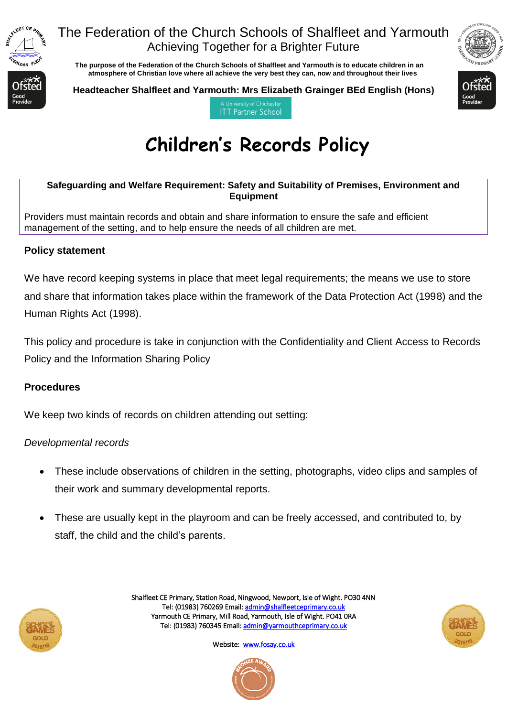

### The Federation of the Church Schools of Shalfleet and Yarmouth Achieving Together for a Brighter Future

 **The purpose of the Federation of the Church Schools of Shalfleet and Yarmouth is to educate children in an atmosphere of Christian love where all achieve the very best they can, now and throughout their lives** 



**Headteacher Shalfleet and Yarmouth: Mrs Elizabeth Grainger BEd English (Hons)**



A University of Chicheste **ITT Partner School** 

# **Children's Records Policy**

**Safeguarding and Welfare Requirement: Safety and Suitability of Premises, Environment and Equipment**

Providers must maintain records and obtain and share information to ensure the safe and efficient management of the setting, and to help ensure the needs of all children are met.

### **Policy statement**

We have record keeping systems in place that meet legal requirements; the means we use to store and share that information takes place within the framework of the Data Protection Act (1998) and the Human Rights Act (1998).

This policy and procedure is take in conjunction with the Confidentiality and Client Access to Records Policy and the Information Sharing Policy

### **Procedures**

We keep two kinds of records on children attending out setting:

### *Developmental records*

- These include observations of children in the setting, photographs, video clips and samples of their work and summary developmental reports.
- These are usually kept in the playroom and can be freely accessed, and contributed to, by staff, the child and the child's parents.



Shalfleet CE Primary, Station Road, Ningwood, Newport, Isle of Wight. PO30 4NN Tel: (01983) 760269 Email[: admin@shalfleetceprimary.co.uk](mailto:admin@shalfleetceprimary.co.uk)  Yarmouth CE Primary, Mill Road, Yarmouth, Isle of Wight. PO41 0RA Tel: (01983) 760345 Email: admin@yarmouthceprimary.co.uk



Website: www.fosay.co.uk

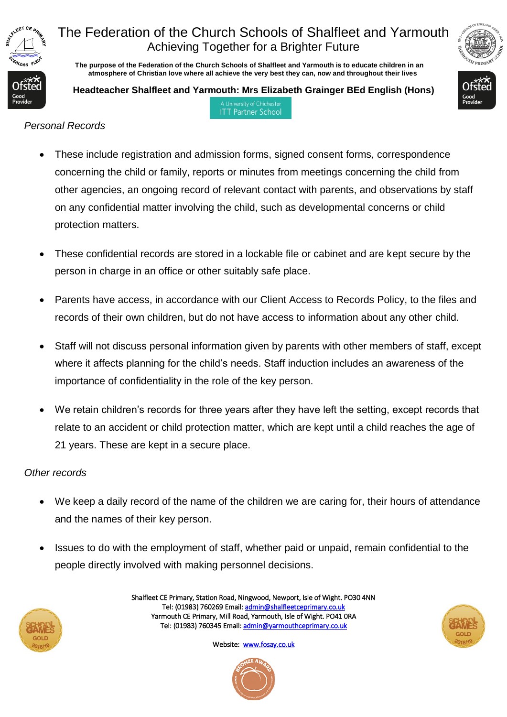

# The Federation of the Church Schools of Shalfleet and Yarmouth Achieving Together for a Brighter Future

 **The purpose of the Federation of the Church Schools of Shalfleet and Yarmouth is to educate children in an atmosphere of Christian love where all achieve the very best they can, now and throughout their lives** 

**Headteacher Shalfleet and Yarmouth: Mrs Elizabeth Grainger BEd English (Hons)** A University of Chicheste

**ITT Partner School** 



*Personal Records*

- These include registration and admission forms, signed consent forms, correspondence concerning the child or family, reports or minutes from meetings concerning the child from other agencies, an ongoing record of relevant contact with parents, and observations by staff on any confidential matter involving the child, such as developmental concerns or child protection matters.
- These confidential records are stored in a lockable file or cabinet and are kept secure by the person in charge in an office or other suitably safe place.
- Parents have access, in accordance with our Client Access to Records Policy, to the files and records of their own children, but do not have access to information about any other child.
- Staff will not discuss personal information given by parents with other members of staff, except where it affects planning for the child's needs. Staff induction includes an awareness of the importance of confidentiality in the role of the key person.
- We retain children's records for three years after they have left the setting, except records that relate to an accident or child protection matter, which are kept until a child reaches the age of 21 years. These are kept in a secure place.

### *Other records*

- We keep a daily record of the name of the children we are caring for, their hours of attendance and the names of their key person.
- Issues to do with the employment of staff, whether paid or unpaid, remain confidential to the people directly involved with making personnel decisions.



Shalfleet CE Primary, Station Road, Ningwood, Newport, Isle of Wight. PO30 4NN Tel: (01983) 760269 Email[: admin@shalfleetceprimary.co.uk](mailto:admin@shalfleetceprimary.co.uk)  Yarmouth CE Primary, Mill Road, Yarmouth, Isle of Wight. PO41 0RA Tel: (01983) 760345 Email: admin@yarmouthceprimary.co.uk



Website: [www.fosay.co.uk](http://www.fosay.co.uk/)